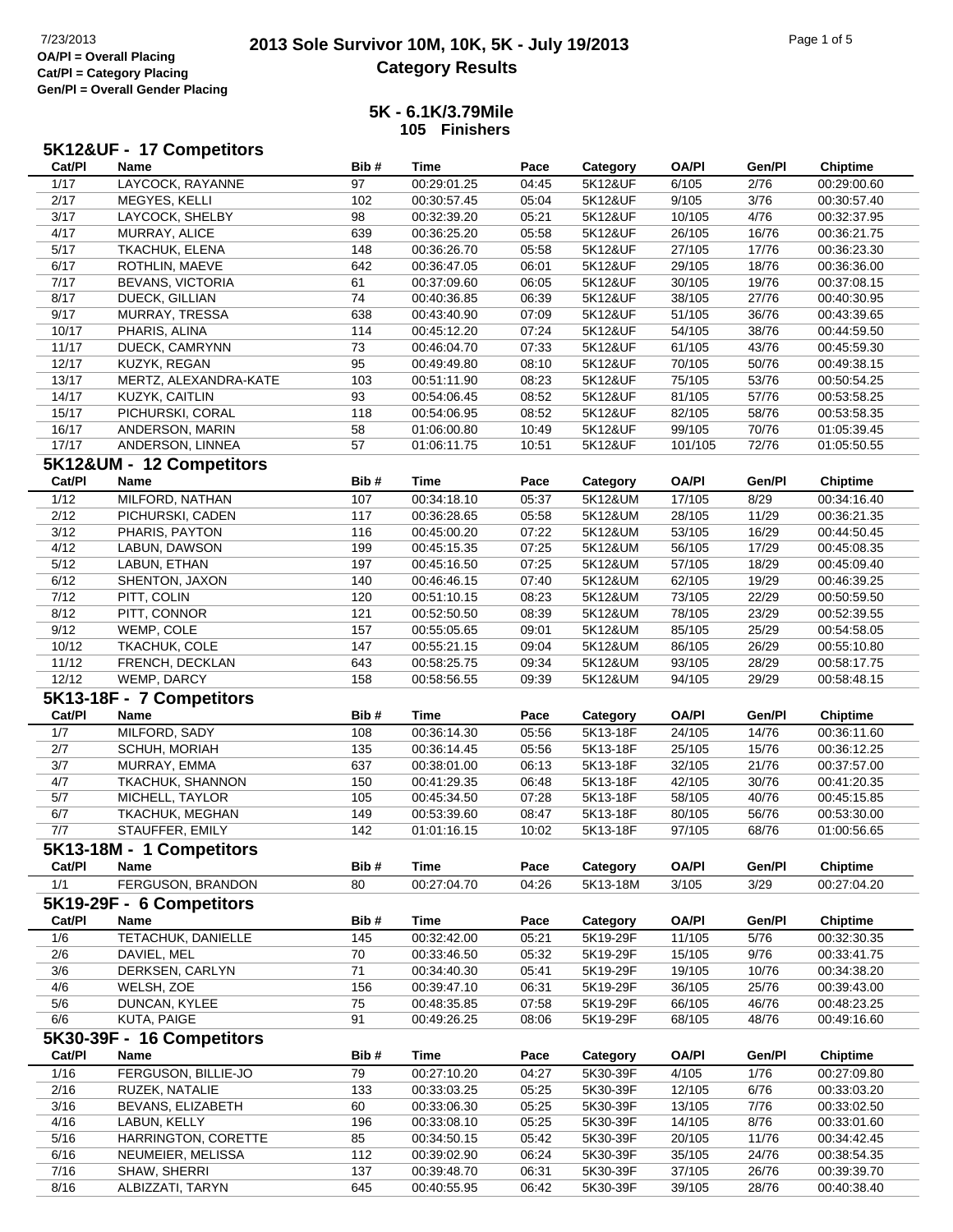### **2013 Sole Survivor 10M, 10K, 5K - July 19/2013** 7/23/2013 Page 1 of 5 **Category Results**

### **5K - 6.1K/3.79Mile 105 Finishers**

|        | 5K12&UF - 17 Competitors  |      |             |       |          |              |        |                 |
|--------|---------------------------|------|-------------|-------|----------|--------------|--------|-----------------|
| Cat/PI | Name                      | Bib# | <b>Time</b> | Pace  | Category | <b>OA/PI</b> | Gen/Pl | <b>Chiptime</b> |
| 1/17   | LAYCOCK, RAYANNE          | 97   | 00:29:01.25 | 04:45 | 5K12&UF  | 6/105        | 2/76   | 00:29:00.60     |
| 2/17   | MEGYES, KELLI             | 102  | 00:30:57.45 | 05:04 | 5K12&UF  | 9/105        | 3/76   | 00:30:57.40     |
| 3/17   | LAYCOCK, SHELBY           | 98   | 00:32:39.20 | 05:21 | 5K12&UF  | 10/105       | 4/76   | 00:32:37.95     |
| 4/17   | MURRAY, ALICE             | 639  | 00:36:25.20 | 05:58 | 5K12&UF  | 26/105       | 16/76  | 00:36:21.75     |
| 5/17   | TKACHUK, ELENA            | 148  | 00:36:26.70 | 05:58 | 5K12&UF  | 27/105       | 17/76  | 00:36:23.30     |
| 6/17   | ROTHLIN, MAEVE            | 642  | 00:36:47.05 | 06:01 | 5K12&UF  | 29/105       | 18/76  | 00:36:36.00     |
| 7/17   | <b>BEVANS, VICTORIA</b>   | 61   | 00:37:09.60 | 06:05 | 5K12&UF  | 30/105       | 19/76  | 00:37:08.15     |
| 8/17   | DUECK, GILLIAN            | 74   | 00:40:36.85 | 06:39 | 5K12&UF  | 38/105       | 27/76  | 00:40:30.95     |
| 9/17   | MURRAY, TRESSA            | 638  | 00:43:40.90 | 07:09 | 5K12&UF  | 51/105       | 36/76  | 00:43:39.65     |
| 10/17  | PHARIS, ALINA             | 114  | 00:45:12.20 | 07:24 | 5K12&UF  | 54/105       | 38/76  | 00:44:59.50     |
| 11/17  | DUECK, CAMRYNN            | 73   | 00:46:04.70 | 07:33 | 5K12&UF  | 61/105       | 43/76  | 00:45:59.30     |
| 12/17  | KUZYK, REGAN              | 95   | 00:49:49.80 | 08:10 | 5K12&UF  | 70/105       | 50/76  | 00:49:38.15     |
| 13/17  | MERTZ, ALEXANDRA-KATE     | 103  | 00:51:11.90 | 08:23 | 5K12&UF  | 75/105       | 53/76  | 00:50:54.25     |
| 14/17  | KUZYK, CAITLIN            | 93   | 00:54:06.45 | 08:52 | 5K12&UF  | 81/105       | 57/76  | 00:53:58.25     |
| 15/17  | PICHURSKI, CORAL          | 118  | 00:54:06.95 | 08:52 | 5K12&UF  | 82/105       | 58/76  | 00:53:58.35     |
| 16/17  | ANDERSON, MARIN           | 58   | 01:06:00.80 | 10:49 | 5K12&UF  | 99/105       | 70/76  | 01:05:39.45     |
| 17/17  | ANDERSON, LINNEA          | 57   | 01:06:11.75 | 10:51 | 5K12&UF  | 101/105      | 72/76  | 01:05:50.55     |
|        | 5K12&UM - 12 Competitors  |      |             |       |          |              |        |                 |
| Cat/PI | Name                      | Bib# | <b>Time</b> | Pace  | Category | <b>OA/PI</b> | Gen/Pl | <b>Chiptime</b> |
| 1/12   | MILFORD, NATHAN           | 107  | 00:34:18.10 | 05:37 | 5K12&UM  | 17/105       | 8/29   | 00:34:16.40     |
| 2/12   | PICHURSKI, CADEN          |      |             | 05:58 | 5K12&UM  | 28/105       | 11/29  |                 |
|        |                           | 117  | 00:36:28.65 |       |          |              |        | 00:36:21.35     |
| 3/12   | PHARIS, PAYTON            | 116  | 00:45:00.20 | 07:22 | 5K12&UM  | 53/105       | 16/29  | 00:44:50.45     |
| 4/12   | LABUN, DAWSON             | 199  | 00:45:15.35 | 07:25 | 5K12&UM  | 56/105       | 17/29  | 00:45:08.35     |
| 5/12   | LABUN, ETHAN              | 197  | 00:45:16.50 | 07:25 | 5K12&UM  | 57/105       | 18/29  | 00:45:09.40     |
| 6/12   | SHENTON, JAXON            | 140  | 00:46:46.15 | 07:40 | 5K12&UM  | 62/105       | 19/29  | 00:46:39.25     |
| 7/12   | PITT, COLIN               | 120  | 00:51:10.15 | 08:23 | 5K12&UM  | 73/105       | 22/29  | 00:50:59.50     |
| 8/12   | PITT, CONNOR              | 121  | 00:52:50.50 | 08:39 | 5K12&UM  | 78/105       | 23/29  | 00:52:39.55     |
| 9/12   | WEMP, COLE                | 157  | 00:55:05.65 | 09:01 | 5K12&UM  | 85/105       | 25/29  | 00:54:58.05     |
| 10/12  | TKACHUK, COLE             | 147  | 00:55:21.15 | 09:04 | 5K12&UM  | 86/105       | 26/29  | 00:55:10.80     |
| 11/12  | FRENCH, DECKLAN           | 643  | 00:58:25.75 | 09:34 | 5K12&UM  | 93/105       | 28/29  | 00:58:17.75     |
| 12/12  | WEMP, DARCY               | 158  | 00:58:56.55 | 09:39 | 5K12&UM  | 94/105       | 29/29  | 00:58:48.15     |
|        | 5K13-18F - 7 Competitors  |      |             |       |          |              |        |                 |
| Cat/PI | Name                      | Bib# | Time        | Pace  | Category | <b>OA/PI</b> | Gen/Pl | <b>Chiptime</b> |
| 1/7    | MILFORD, SADY             | 108  | 00:36:14.30 | 05:56 | 5K13-18F | 24/105       | 14/76  | 00:36:11.60     |
| 2/7    | SCHUH, MORIAH             | 135  | 00:36:14.45 | 05:56 | 5K13-18F | 25/105       | 15/76  | 00:36:12.25     |
| 3/7    | MURRAY, EMMA              | 637  | 00:38:01.00 | 06:13 | 5K13-18F | 32/105       | 21/76  | 00:37:57.00     |
| 4/7    | TKACHUK, SHANNON          | 150  | 00:41:29.35 | 06:48 | 5K13-18F | 42/105       | 30/76  | 00:41:20.35     |
| 5/7    | MICHELL, TAYLOR           | 105  | 00:45:34.50 | 07:28 | 5K13-18F | 58/105       | 40/76  | 00:45:15.85     |
| 6/7    | TKACHUK, MEGHAN           | 149  | 00:53:39.60 | 08:47 | 5K13-18F | 80/105       | 56/76  | 00:53:30.00     |
| 7/7    | STAUFFER, EMILY           | 142  | 01:01:16.15 | 10:02 | 5K13-18F | 97/105       | 68/76  | 01:00:56.65     |
|        | 5K13-18M - 1 Competitors  |      |             |       |          |              |        |                 |
| Cat/PI | Name                      | Bib# | <b>Time</b> | Pace  | Category | <b>OA/PI</b> | Gen/Pl | <b>Chiptime</b> |
| 1/1    | FERGUSON, BRANDON         | 80   | 00:27:04.70 | 04:26 | 5K13-18M | 3/105        | 3/29   | 00:27:04.20     |
|        | 5K19-29F - 6 Competitors  |      |             |       |          |              |        |                 |
| Cat/PI | Name                      | Bib# | <b>Time</b> | Pace  | Category | <b>OA/PI</b> | Gen/Pl | <b>Chiptime</b> |
| 1/6    | <b>TETACHUK, DANIELLE</b> | 145  | 00:32:42.00 | 05:21 | 5K19-29F | 11/105       | 5/76   | 00:32:30.35     |
| 2/6    | DAVIEL, MEL               | 70   | 00:33:46.50 | 05:32 | 5K19-29F | 15/105       | 9/76   | 00:33:41.75     |
| 3/6    | DERKSEN, CARLYN           | 71   | 00:34:40.30 | 05:41 | 5K19-29F | 19/105       | 10/76  | 00:34:38.20     |
| 4/6    | WELSH, ZOE                | 156  | 00:39:47.10 | 06:31 | 5K19-29F | 36/105       | 25/76  | 00:39:43.00     |
| 5/6    | DUNCAN, KYLEE             | 75   | 00:48:35.85 | 07:58 | 5K19-29F | 66/105       | 46/76  | 00:48:23.25     |
| 6/6    | KUTA, PAIGE               | 91   | 00:49:26.25 | 08:06 | 5K19-29F | 68/105       | 48/76  | 00:49:16.60     |
|        | 5K30-39F - 16 Competitors |      |             |       |          |              |        |                 |
| Cat/PI | Name                      | Bib# | <b>Time</b> | Pace  |          | <b>OA/PI</b> | Gen/Pl | <b>Chiptime</b> |
|        |                           |      |             |       | Category |              |        |                 |
| $1/16$ | FERGUSON, BILLIE-JO       | 79   | 00:27:10.20 | 04:27 | 5K30-39F | 4/105        | 1/76   | 00:27:09.80     |
| 2/16   | RUZEK, NATALIE            | 133  | 00:33:03.25 | 05:25 | 5K30-39F | 12/105       | 6/76   | 00:33:03.20     |
| 3/16   | BEVANS, ELIZABETH         | 60   | 00:33:06.30 | 05:25 | 5K30-39F | 13/105       | 7/76   | 00:33:02.50     |
| 4/16   | LABUN, KELLY              | 196  | 00:33:08.10 | 05:25 | 5K30-39F | 14/105       | 8/76   | 00:33:01.60     |
| 5/16   | HARRINGTON, CORETTE       | 85   | 00:34:50.15 | 05:42 | 5K30-39F | 20/105       | 11/76  | 00:34:42.45     |
| 6/16   | NEUMEIER, MELISSA         | 112  | 00:39:02.90 | 06:24 | 5K30-39F | 35/105       | 24/76  | 00:38:54.35     |
| 7/16   | SHAW, SHERRI              | 137  | 00:39:48.70 | 06:31 | 5K30-39F | 37/105       | 26/76  | 00:39:39.70     |
| 8/16   | ALBIZZATI, TARYN          | 645  | 00:40:55.95 | 06:42 | 5K30-39F | 39/105       | 28/76  | 00:40:38.40     |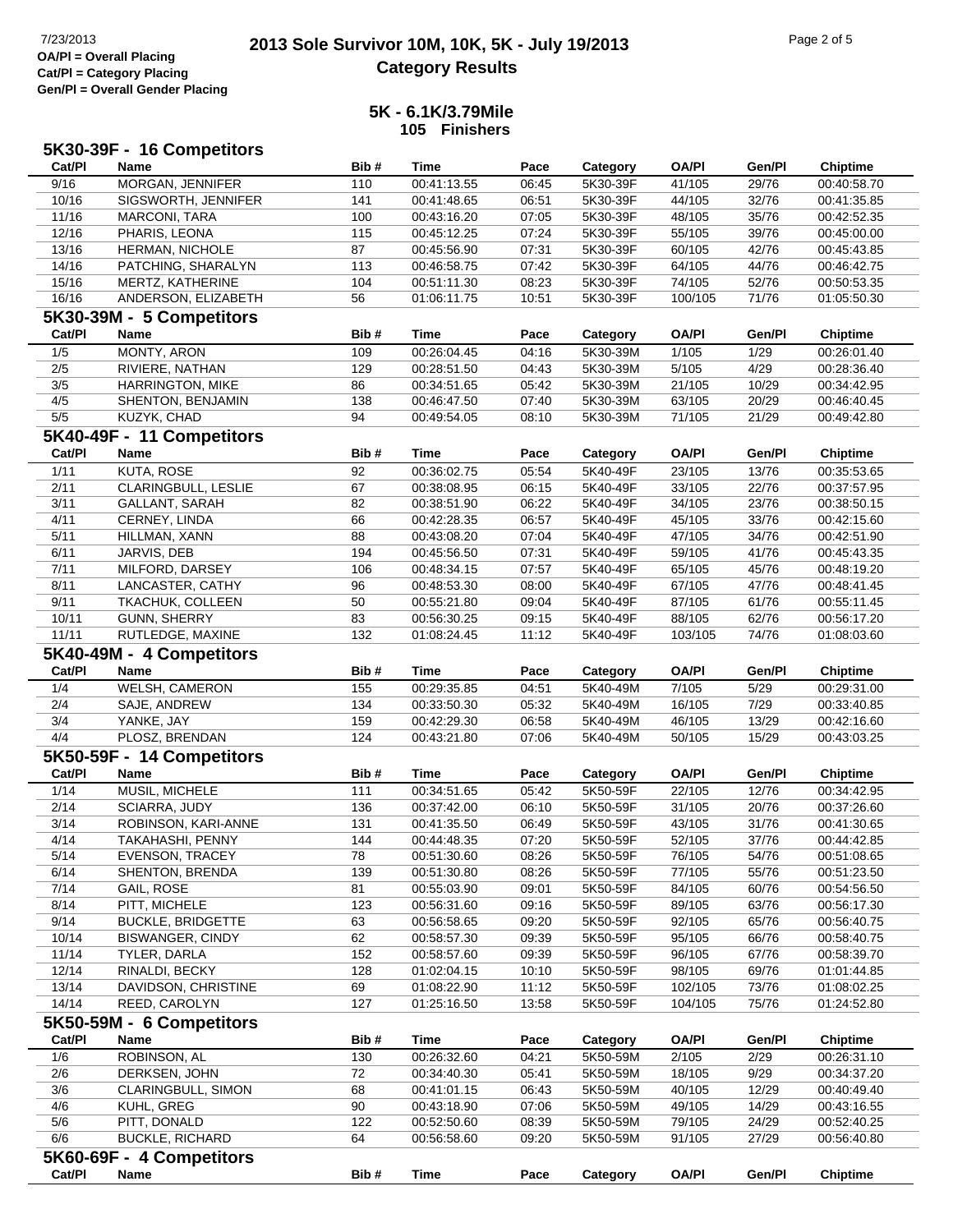# **2013 Sole Survivor 10M, 10K, 5K - July 19/2013** Page 2 of 5 Page 2 of 5 Page 2 of 5 **Category Results**

#### **5K - 6.1K/3.79Mile 105 Finishers**

|              | 5K30-39F - 16 Competitors            |            |                            |                |                      |                  |                |                            |
|--------------|--------------------------------------|------------|----------------------------|----------------|----------------------|------------------|----------------|----------------------------|
| Cat/PI       | <b>Name</b>                          | Bib#       | <b>Time</b>                | Pace           | Category             | <b>OA/PI</b>     | Gen/Pl         | <b>Chiptime</b>            |
| 9/16         | MORGAN, JENNIFER                     | 110        | 00:41:13.55                | 06:45          | 5K30-39F             | 41/105           | 29/76          | 00:40:58.70                |
| 10/16        | SIGSWORTH, JENNIFER                  | 141        | 00:41:48.65                | 06:51          | 5K30-39F             | 44/105           | 32/76          | 00:41:35.85                |
| 11/16        | MARCONI, TARA                        | 100        | 00:43:16.20                | 07:05          | 5K30-39F             | 48/105           | 35/76          | 00:42:52.35                |
| 12/16        | PHARIS, LEONA                        | 115        | 00:45:12.25                | 07:24          | 5K30-39F             | 55/105           | 39/76          | 00:45:00.00                |
| 13/16        | <b>HERMAN, NICHOLE</b>               | 87         | 00:45:56.90                | 07:31          | 5K30-39F             | 60/105           | 42/76          | 00:45:43.85                |
| 14/16        | PATCHING, SHARALYN                   | 113        | 00:46:58.75                | 07:42          | 5K30-39F             | 64/105           | 44/76          | 00:46:42.75                |
| 15/16        | MERTZ, KATHERINE                     | 104        | 00:51:11.30                | 08:23          | 5K30-39F             | 74/105           | 52/76          | 00:50:53.35                |
| 16/16        | ANDERSON, ELIZABETH                  | 56         | 01:06:11.75                | 10:51          | 5K30-39F             | 100/105          | 71/76          | 01:05:50.30                |
|              | 5K30-39M - 5 Competitors             |            |                            |                |                      |                  |                |                            |
| Cat/PI       | Name                                 | Bib#       | Time                       | Pace           | Category             | <b>OA/PI</b>     | Gen/Pl         | <b>Chiptime</b>            |
| 1/5          | MONTY, ARON                          | 109        | 00:26:04.45                | 04:16          | 5K30-39M             | 1/105            | 1/29           | 00:26:01.40                |
| 2/5          | RIVIERE, NATHAN                      | 129        | 00:28:51.50                | 04:43          | 5K30-39M             | 5/105            | 4/29           | 00:28:36.40                |
| 3/5          | <b>HARRINGTON, MIKE</b>              | 86         | 00:34:51.65                | 05:42          | 5K30-39M             | 21/105           | 10/29          | 00:34:42.95                |
| 4/5          | SHENTON, BENJAMIN                    | 138        | 00:46:47.50                | 07:40          | 5K30-39M             | 63/105           | 20/29          | 00:46:40.45                |
| 5/5          | KUZYK, CHAD                          | 94         | 00:49:54.05                | 08:10          | 5K30-39M             | 71/105           | 21/29          | 00:49:42.80                |
|              | 5K40-49F - 11 Competitors            |            |                            |                |                      |                  |                |                            |
| Cat/PI       | <b>Name</b>                          | Bib#       | <b>Time</b>                | Pace           | Category             | <b>OA/PI</b>     | Gen/Pl         | <b>Chiptime</b>            |
| $1/11$       | <b>KUTA, ROSE</b>                    | 92         | 00:36:02.75                | 05:54          | 5K40-49F             | 23/105           | 13/76          | 00:35:53.65                |
| 2/11         | CLARINGBULL, LESLIE                  | 67         | 00:38:08.95                | 06:15          | 5K40-49F             | 33/105           | 22/76          | 00:37:57.95                |
| 3/11         | <b>GALLANT, SARAH</b>                | 82         | 00:38:51.90                | 06:22          | 5K40-49F             | 34/105           | 23/76          | 00:38:50.15                |
| 4/11         | CERNEY, LINDA                        | 66         | 00:42:28.35                | 06:57          | 5K40-49F             | 45/105           | 33/76          | 00:42:15.60                |
| 5/11         | HILLMAN, XANN                        | 88         | 00:43:08.20                | 07:04          | 5K40-49F             | 47/105           | 34/76          | 00:42:51.90                |
| 6/11         | JARVIS, DEB                          | 194        | 00:45:56.50                | 07:31          | 5K40-49F             | 59/105           | 41/76          | 00:45:43.35                |
| 7/11         | MILFORD, DARSEY                      | 106        | 00:48:34.15                | 07:57          | 5K40-49F             | 65/105           | 45/76          | 00:48:19.20                |
| 8/11         | LANCASTER, CATHY                     | 96         | 00:48:53.30                | 08:00          | 5K40-49F             | 67/105           | 47/76          | 00:48:41.45                |
| 9/11         | TKACHUK, COLLEEN                     | 50         | 00:55:21.80                | 09:04          | 5K40-49F             | 87/105           | 61/76          | 00:55:11.45                |
| 10/11        | GUNN, SHERRY                         | 83         | 00:56:30.25                | 09:15          | 5K40-49F             | 88/105           | 62/76          | 00:56:17.20                |
| 11/11        | RUTLEDGE, MAXINE                     | 132        | 01:08:24.45                | 11:12          | 5K40-49F             | 103/105          | 74/76          | 01:08:03.60                |
|              | 5K40-49M - 4 Competitors             |            |                            |                |                      |                  |                |                            |
|              |                                      |            |                            |                |                      |                  |                |                            |
| Cat/PI       | <b>Name</b>                          | Bib#       | Time                       | Pace           |                      |                  | Gen/Pl         |                            |
|              |                                      |            |                            |                | Category<br>5K40-49M | <b>OA/PI</b>     |                | <b>Chiptime</b>            |
| 1/4          | <b>WELSH, CAMERON</b>                | 155        | 00:29:35.85                | 04:51          |                      | 7/105            | 5/29           | 00:29:31.00                |
| 2/4<br>3/4   | SAJE, ANDREW<br>YANKE, JAY           | 134<br>159 | 00:33:50.30<br>00:42:29.30 | 05:32<br>06:58 | 5K40-49M<br>5K40-49M | 16/105<br>46/105 | 7/29<br>13/29  | 00:33:40.85<br>00:42:16.60 |
| 4/4          | PLOSZ, BRENDAN                       | 124        | 00:43:21.80                | 07:06          | 5K40-49M             | 50/105           | 15/29          | 00:43:03.25                |
|              |                                      |            |                            |                |                      |                  |                |                            |
| Cat/PI       | 5K50-59F - 14 Competitors<br>Name    | Bib#       | <b>Time</b>                |                |                      |                  |                |                            |
|              |                                      |            |                            | Pace           | Category             | <b>OA/PI</b>     | Gen/Pl         | <b>Chiptime</b>            |
| 1/14         | MUSIL, MICHELE                       | 111        | 00:34:51.65<br>00:37:42.00 | 05:42          | 5K50-59F             | 22/105           | 12/76          | 00:34:42.95                |
| 2/14         | SCIARRA, JUDY<br>ROBINSON, KARI-ANNE | 136        | 00:41:35.50                | 06:10<br>06:49 | 5K50-59F             | 31/105           | 20/76          | 00:37:26.60<br>00:41:30.65 |
| 3/14<br>4/14 | TAKAHASHI, PENNY                     | 131<br>144 | 00:44:48.35                |                | 5K50-59F<br>5K50-59F | 43/105<br>52/105 | 31/76<br>37/76 | 00:44:42.85                |
| 5/14         | <b>EVENSON, TRACEY</b>               | 78         | 00:51:30.60                | 07:20<br>08:26 | 5K50-59F             | 76/105           | 54/76          | 00:51:08.65                |
| 6/14         | SHENTON, BRENDA                      | 139        | 00:51:30.80                | 08:26          | 5K50-59F             | 77/105           | 55/76          | 00:51:23.50                |
| 7/14         | GAIL, ROSE                           | 81         | 00:55:03.90                | 09:01          | 5K50-59F             | 84/105           | 60/76          | 00:54:56.50                |
| 8/14         | PITT, MICHELE                        | 123        | 00:56:31.60                | 09:16          | 5K50-59F             | 89/105           | 63/76          | 00:56:17.30                |
| 9/14         | <b>BUCKLE, BRIDGETTE</b>             | 63         | 00:56:58.65                | 09:20          | 5K50-59F             | 92/105           | 65/76          | 00:56:40.75                |
| 10/14        | <b>BISWANGER, CINDY</b>              | 62         | 00:58:57.30                | 09:39          | 5K50-59F             | 95/105           | 66/76          | 00:58:40.75                |
| 11/14        | TYLER, DARLA                         | 152        | 00:58:57.60                | 09:39          | 5K50-59F             | 96/105           | 67/76          | 00:58:39.70                |
| 12/14        | RINALDI, BECKY                       | 128        | 01:02:04.15                | 10:10          | 5K50-59F             | 98/105           | 69/76          | 01:01:44.85                |
| 13/14        | DAVIDSON, CHRISTINE                  | 69         | 01:08:22.90                | 11:12          | 5K50-59F             | 102/105          | 73/76          | 01:08:02.25                |
| 14/14        | REED, CAROLYN                        | 127        | 01:25:16.50                | 13:58          | 5K50-59F             | 104/105          | 75/76          | 01:24:52.80                |
|              | 5K50-59M - 6 Competitors             |            |                            |                |                      |                  |                |                            |
| Cat/PI       | Name                                 | Bib#       | <b>Time</b>                | Pace           | Category             | OA/PI            | Gen/Pl         | <b>Chiptime</b>            |
| 1/6          | ROBINSON, AL                         | 130        | 00:26:32.60                | 04:21          | 5K50-59M             | 2/105            | 2/29           | 00:26:31.10                |
| 2/6          | DERKSEN, JOHN                        | 72         | 00:34:40.30                | 05:41          | 5K50-59M             | 18/105           | 9/29           | 00:34:37.20                |
| 3/6          | CLARINGBULL, SIMON                   | 68         | 00:41:01.15                | 06:43          | 5K50-59M             | 40/105           | 12/29          | 00:40:49.40                |
| 4/6          | KUHL, GREG                           | 90         | 00:43:18.90                | 07:06          | 5K50-59M             | 49/105           | 14/29          | 00:43:16.55                |
| 5/6          | PITT, DONALD                         | 122        | 00:52:50.60                | 08:39          | 5K50-59M             | 79/105           | 24/29          | 00:52:40.25                |
| 6/6          | <b>BUCKLE, RICHARD</b>               | 64         | 00:56:58.60                | 09:20          | 5K50-59M             | 91/105           | 27/29          | 00:56:40.80                |
|              | 5K60-69F - 4 Competitors             |            |                            |                |                      |                  |                |                            |